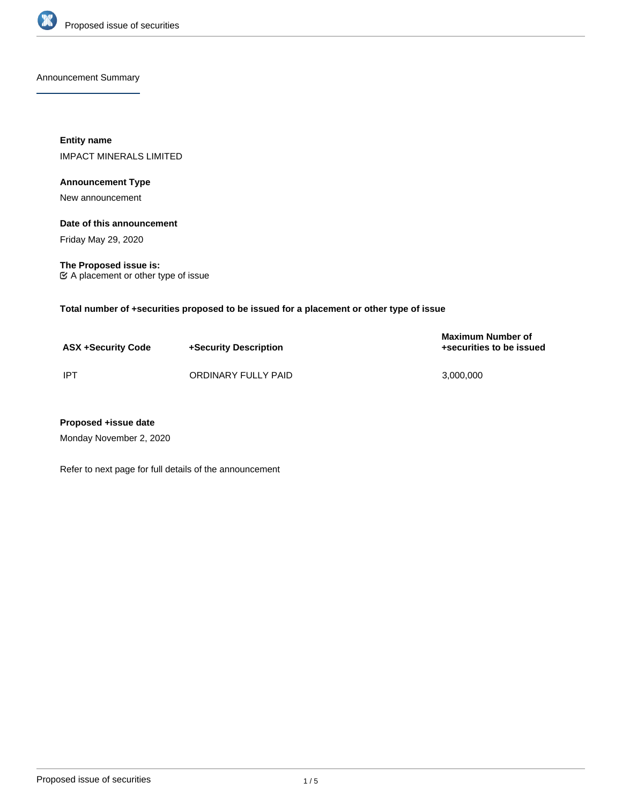

Announcement Summary

**Entity name** IMPACT MINERALS LIMITED

# **Announcement Type**

New announcement

#### **Date of this announcement**

Friday May 29, 2020

**The Proposed issue is:** A placement or other type of issue

**Total number of +securities proposed to be issued for a placement or other type of issue**

| <b>ASX +Security Code</b> | +Security Description | <b>Maximum Number of</b><br>+securities to be issued |
|---------------------------|-----------------------|------------------------------------------------------|
| IPT                       | ORDINARY FULLY PAID   | 3,000,000                                            |

### **Proposed +issue date**

Monday November 2, 2020

Refer to next page for full details of the announcement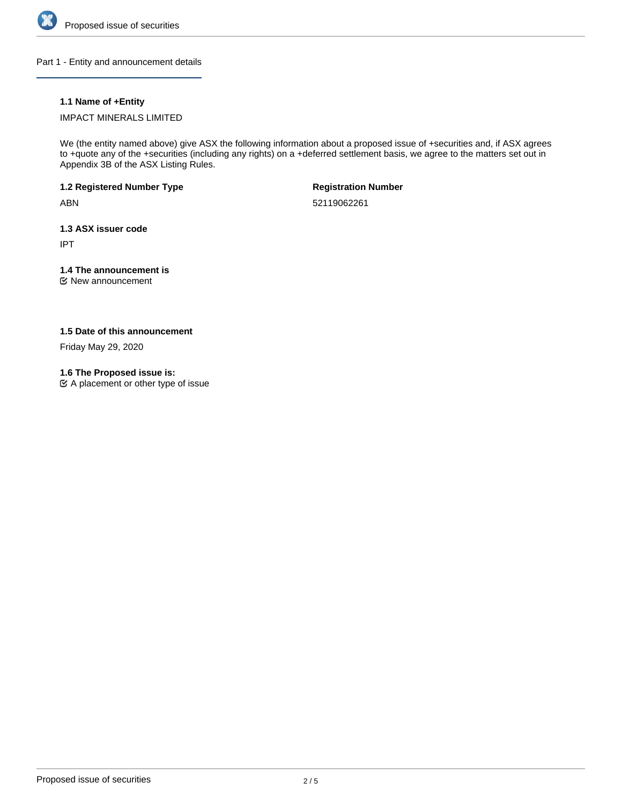

Part 1 - Entity and announcement details

# **1.1 Name of +Entity**

IMPACT MINERALS LIMITED

We (the entity named above) give ASX the following information about a proposed issue of +securities and, if ASX agrees to +quote any of the +securities (including any rights) on a +deferred settlement basis, we agree to the matters set out in Appendix 3B of the ASX Listing Rules.

**1.2 Registered Number Type**

ABN

**Registration Number**

52119062261

**1.3 ASX issuer code**

IPT

# **1.4 The announcement is**

New announcement

**1.5 Date of this announcement**

Friday May 29, 2020

**1.6 The Proposed issue is:**

A placement or other type of issue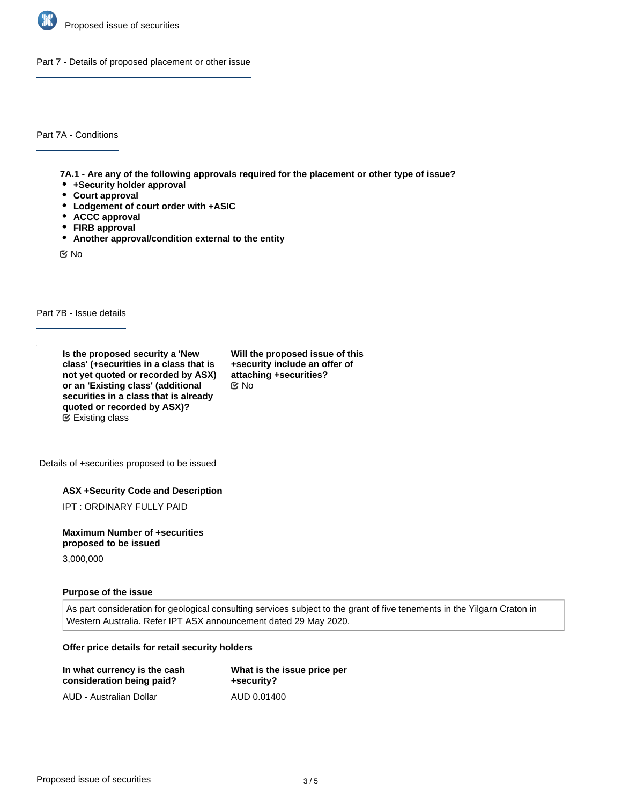

Part 7 - Details of proposed placement or other issue

Part 7A - Conditions

**7A.1 - Are any of the following approvals required for the placement or other type of issue?**

- **+Security holder approval**
- **Court approval**
- **Lodgement of court order with +ASIC**
- **ACCC approval**
- **FIRB approval**
- **Another approval/condition external to the entity**

No

Part 7B - Issue details

**Is the proposed security a 'New class' (+securities in a class that is not yet quoted or recorded by ASX) or an 'Existing class' (additional securities in a class that is already quoted or recorded by ASX)?** Existing class

**Will the proposed issue of this +security include an offer of attaching +securities?** No

Details of +securities proposed to be issued

**ASX +Security Code and Description**

IPT : ORDINARY FULLY PAID

**Maximum Number of +securities proposed to be issued**

3,000,000

#### **Purpose of the issue**

As part consideration for geological consulting services subject to the grant of five tenements in the Yilgarn Craton in Western Australia. Refer IPT ASX announcement dated 29 May 2020.

#### **Offer price details for retail security holders**

| In what currency is the cash | What is the issue price per |
|------------------------------|-----------------------------|
| consideration being paid?    | +security?                  |
| AUD - Australian Dollar      | AUD 0.01400                 |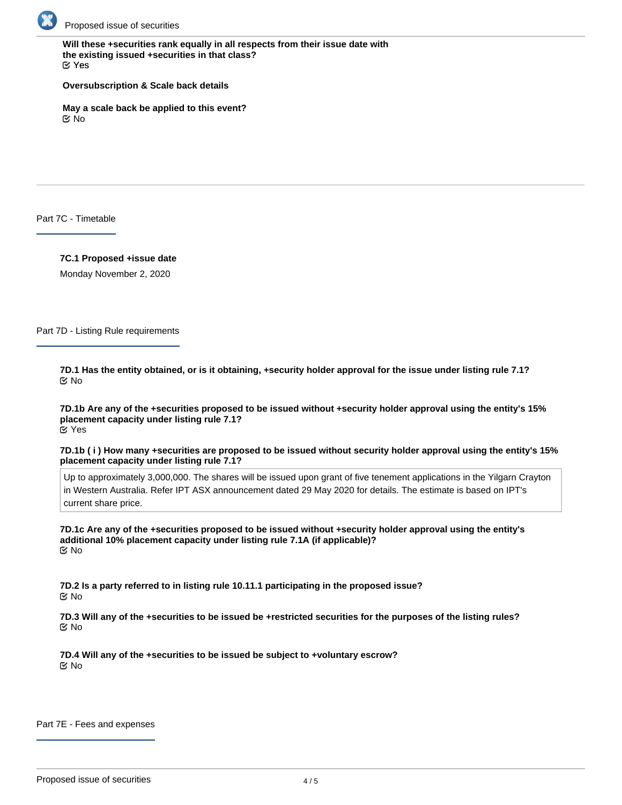

**Will these +securities rank equally in all respects from their issue date with the existing issued +securities in that class?** Yes

**Oversubscription & Scale back details**

**May a scale back be applied to this event?** No

Part 7C - Timetable

**7C.1 Proposed +issue date** Monday November 2, 2020

Part 7D - Listing Rule requirements

**7D.1 Has the entity obtained, or is it obtaining, +security holder approval for the issue under listing rule 7.1?** No

**7D.1b Are any of the +securities proposed to be issued without +security holder approval using the entity's 15% placement capacity under listing rule 7.1?** Yes

**7D.1b ( i ) How many +securities are proposed to be issued without security holder approval using the entity's 15% placement capacity under listing rule 7.1?**

Up to approximately 3,000,000. The shares will be issued upon grant of five tenement applications in the Yilgarn Crayton in Western Australia. Refer IPT ASX announcement dated 29 May 2020 for details. The estimate is based on IPT's current share price.

**7D.1c Are any of the +securities proposed to be issued without +security holder approval using the entity's additional 10% placement capacity under listing rule 7.1A (if applicable)?** No

**7D.2 Is a party referred to in listing rule 10.11.1 participating in the proposed issue?** No

**7D.3 Will any of the +securities to be issued be +restricted securities for the purposes of the listing rules?** No

**7D.4 Will any of the +securities to be issued be subject to +voluntary escrow?** No

Part 7E - Fees and expenses